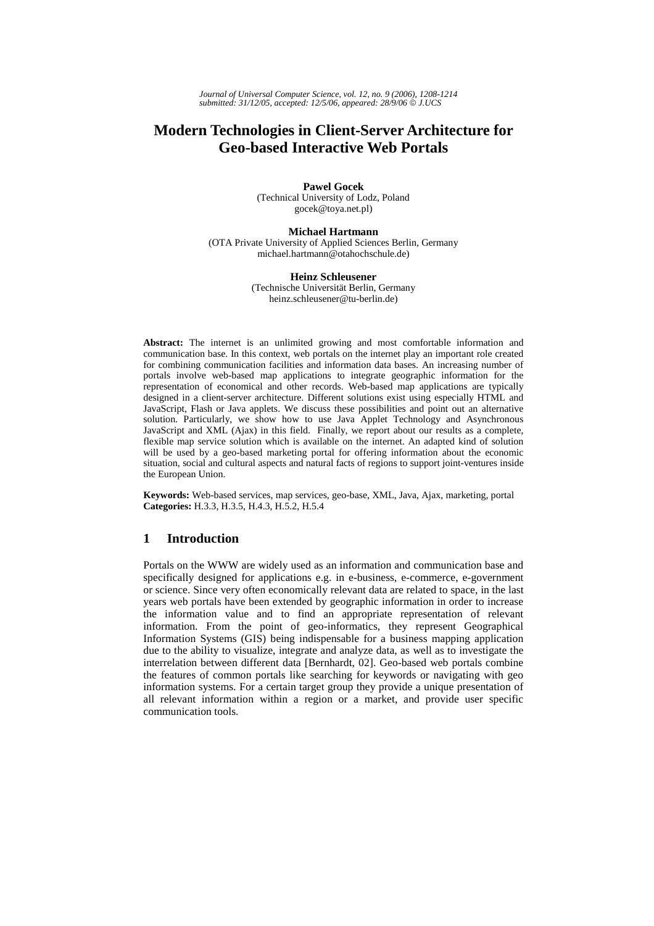*Journal of Universal Computer Science, vol. 12, no. 9 (2006), 1208-1214 submitted: 31/12/05, accepted: 12/5/06, appeared: 28/9/06* © *J.UCS*

# **Modern Technologies in Client-Server Architecture for Geo-based Interactive Web Portals**

**Pawel Gocek**  (Technical University of Lodz, Poland gocek@toya.net.pl)

**Michael Hartmann**  (OTA Private University of Applied Sciences Berlin, Germany michael.hartmann@otahochschule.de)

#### **Heinz Schleusener**

(Technische Universität Berlin, Germany heinz.schleusener@tu-berlin.de)

**Abstract:** The internet is an unlimited growing and most comfortable information and communication base. In this context, web portals on the internet play an important role created for combining communication facilities and information data bases. An increasing number of portals involve web-based map applications to integrate geographic information for the representation of economical and other records. Web-based map applications are typically designed in a client-server architecture. Different solutions exist using especially HTML and JavaScript, Flash or Java applets. We discuss these possibilities and point out an alternative solution. Particularly, we show how to use Java Applet Technology and Asynchronous JavaScript and XML (Ajax) in this field. Finally, we report about our results as a complete, flexible map service solution which is available on the internet. An adapted kind of solution will be used by a geo-based marketing portal for offering information about the economic situation, social and cultural aspects and natural facts of regions to support joint-ventures inside the European Union.

**Keywords:** Web-based services, map services, geo-base, XML, Java, Ajax, marketing, portal **Categories:** H.3.3, H.3.5, H.4.3, H.5.2, H.5.4

# **1 Introduction**

Portals on the WWW are widely used as an information and communication base and specifically designed for applications e.g. in e-business, e-commerce, e-government or science. Since very often economically relevant data are related to space, in the last years web portals have been extended by geographic information in order to increase the information value and to find an appropriate representation of relevant information. From the point of geo-informatics, they represent Geographical Information Systems (GIS) being indispensable for a business mapping application due to the ability to visualize, integrate and analyze data, as well as to investigate the interrelation between different data [Bernhardt, 02]. Geo-based web portals combine the features of common portals like searching for keywords or navigating with geo information systems. For a certain target group they provide a unique presentation of all relevant information within a region or a market, and provide user specific communication tools.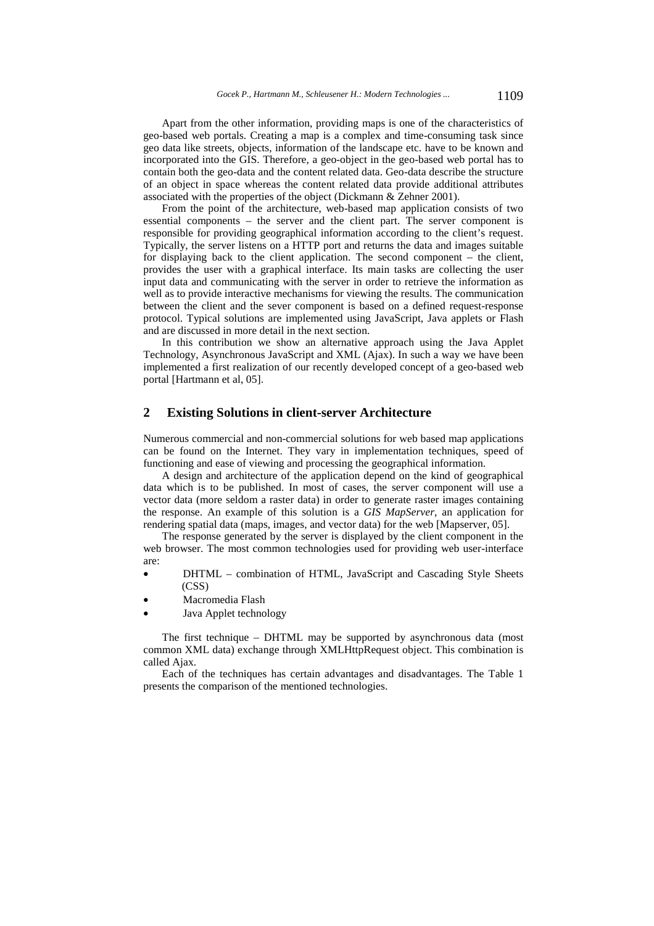Apart from the other information, providing maps is one of the characteristics of geo-based web portals. Creating a map is a complex and time-consuming task since geo data like streets, objects, information of the landscape etc. have to be known and incorporated into the GIS. Therefore, a geo-object in the geo-based web portal has to contain both the geo-data and the content related data. Geo-data describe the structure of an object in space whereas the content related data provide additional attributes associated with the properties of the object (Dickmann & Zehner 2001).

From the point of the architecture, web-based map application consists of two essential components – the server and the client part. The server component is responsible for providing geographical information according to the client's request. Typically, the server listens on a HTTP port and returns the data and images suitable for displaying back to the client application. The second component – the client, provides the user with a graphical interface. Its main tasks are collecting the user input data and communicating with the server in order to retrieve the information as well as to provide interactive mechanisms for viewing the results. The communication between the client and the sever component is based on a defined request-response protocol. Typical solutions are implemented using JavaScript, Java applets or Flash and are discussed in more detail in the next section.

In this contribution we show an alternative approach using the Java Applet Technology, Asynchronous JavaScript and XML (Ajax). In such a way we have been implemented a first realization of our recently developed concept of a geo-based web portal [Hartmann et al, 05].

### **2 Existing Solutions in client-server Architecture**

Numerous commercial and non-commercial solutions for web based map applications can be found on the Internet. They vary in implementation techniques, speed of functioning and ease of viewing and processing the geographical information.

A design and architecture of the application depend on the kind of geographical data which is to be published. In most of cases, the server component will use a vector data (more seldom a raster data) in order to generate raster images containing the response. An example of this solution is a *GIS MapServer*, an application for rendering spatial data (maps, images, and vector data) for the web [Mapserver, 05].

The response generated by the server is displayed by the client component in the web browser. The most common technologies used for providing web user-interface are:

- DHTML combination of HTML, JavaScript and Cascading Style Sheets  $(CSS)$
- Macromedia Flash
- Java Applet technology

The first technique – DHTML may be supported by asynchronous data (most common XML data) exchange through XMLHttpRequest object. This combination is called Ajax.

Each of the techniques has certain advantages and disadvantages. The Table 1 presents the comparison of the mentioned technologies.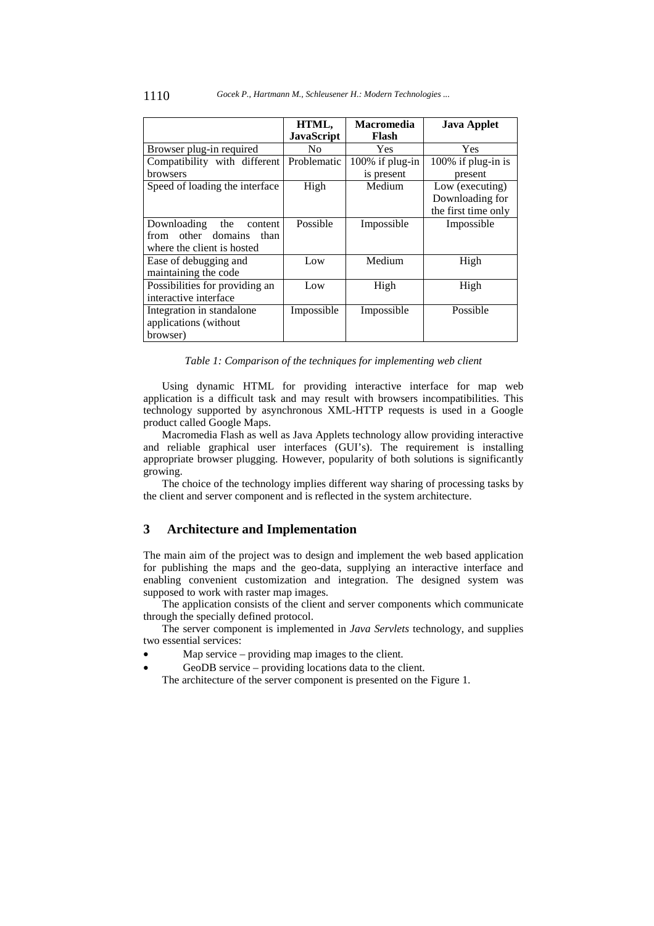|                                | HTML,             | <b>Macromedia</b> | <b>Java Applet</b>  |
|--------------------------------|-------------------|-------------------|---------------------|
|                                | <b>JavaScript</b> | Flash             |                     |
| Browser plug-in required       | No.               | <b>Yes</b>        | Yes                 |
| Compatibility with different   | Problematic       | 100% if plug-in   | 100% if plug-in is  |
| <b>browsers</b>                |                   | is present        | present             |
| Speed of loading the interface | High              | Medium            | Low (executing)     |
|                                |                   |                   | Downloading for     |
|                                |                   |                   | the first time only |
| Downloading the<br>content     | Possible          | Impossible        | Impossible          |
| from other domains<br>than     |                   |                   |                     |
| where the client is hosted     |                   |                   |                     |
| Ease of debugging and          | Low               | Medium            | High                |
| maintaining the code           |                   |                   |                     |
| Possibilities for providing an | Low               | High              | High                |
| interactive interface          |                   |                   |                     |
| Integration in standalone      | Impossible        | Impossible        | Possible            |
| applications (without)         |                   |                   |                     |
| browser)                       |                   |                   |                     |

*Table 1: Comparison of the techniques for implementing web client* 

Using dynamic HTML for providing interactive interface for map web application is a difficult task and may result with browsers incompatibilities. This technology supported by asynchronous XML-HTTP requests is used in a Google product called Google Maps.

Macromedia Flash as well as Java Applets technology allow providing interactive and reliable graphical user interfaces (GUI's). The requirement is installing appropriate browser plugging. However, popularity of both solutions is significantly growing.

The choice of the technology implies different way sharing of processing tasks by the client and server component and is reflected in the system architecture.

# **3 Architecture and Implementation**

The main aim of the project was to design and implement the web based application for publishing the maps and the geo-data, supplying an interactive interface and enabling convenient customization and integration. The designed system was supposed to work with raster map images.

The application consists of the client and server components which communicate through the specially defined protocol.

The server component is implemented in *Java Servlets* technology, and supplies two essential services:

- Map service  $-$  providing map images to the client.
- GeoDB service providing locations data to the client.

The architecture of the server component is presented on the Figure 1.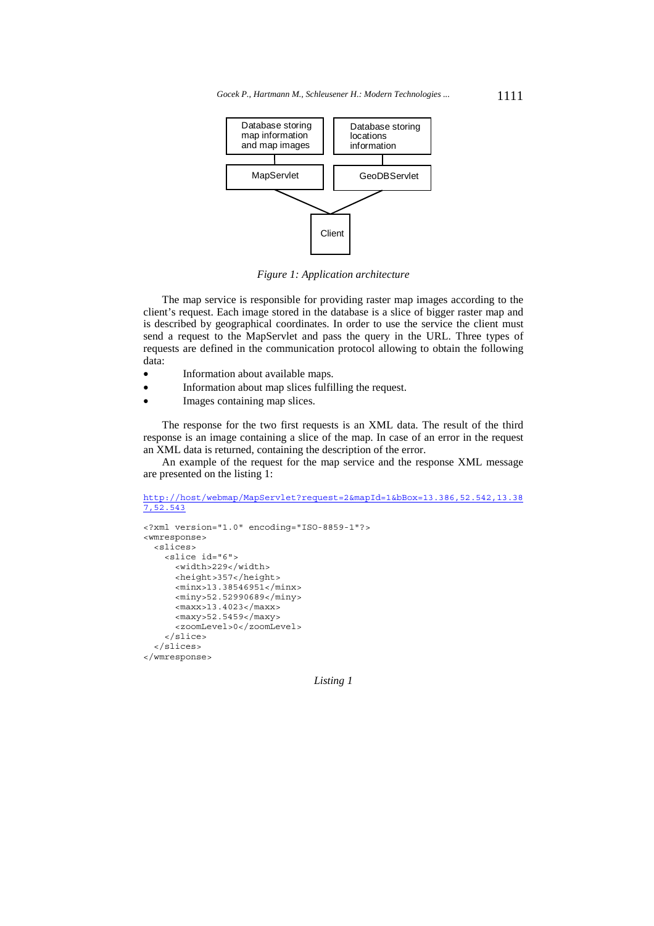

*Figure 1: Application architecture* 

The map service is responsible for providing raster map images according to the client's request. Each image stored in the database is a slice of bigger raster map and is described by geographical coordinates. In order to use the service the client must send a request to the MapServlet and pass the query in the URL. Three types of requests are defined in the communication protocol allowing to obtain the following data:

- Information about available maps.
- Information about map slices fulfilling the request.
- Images containing map slices.

The response for the two first requests is an XML data. The result of the third response is an image containing a slice of the map. In case of an error in the request an XML data is returned, containing the description of the error.

An example of the request for the map service and the response XML message are presented on the listing 1:

```
http://host/webmap/MapServlet?request=2&mapId=1&bBox=13.386,52.542,13.38
7,52.543
```

```
<?xml version="1.0" encoding="ISO-8859-1"?> 
<wmresponse> 
  <slices> 
     <slice id="6"> 
       <width>229</width> 
       <height>357</height> 
       <minx>13.38546951</minx> 
       <miny>52.52990689</miny> 
       <maxx>13.4023</maxx> 
       <maxy>52.5459</maxy> 
       <zoomLevel>0</zoomLevel> 
     </slice> 
  </slices> 
</wmresponse>
```
*Listing 1*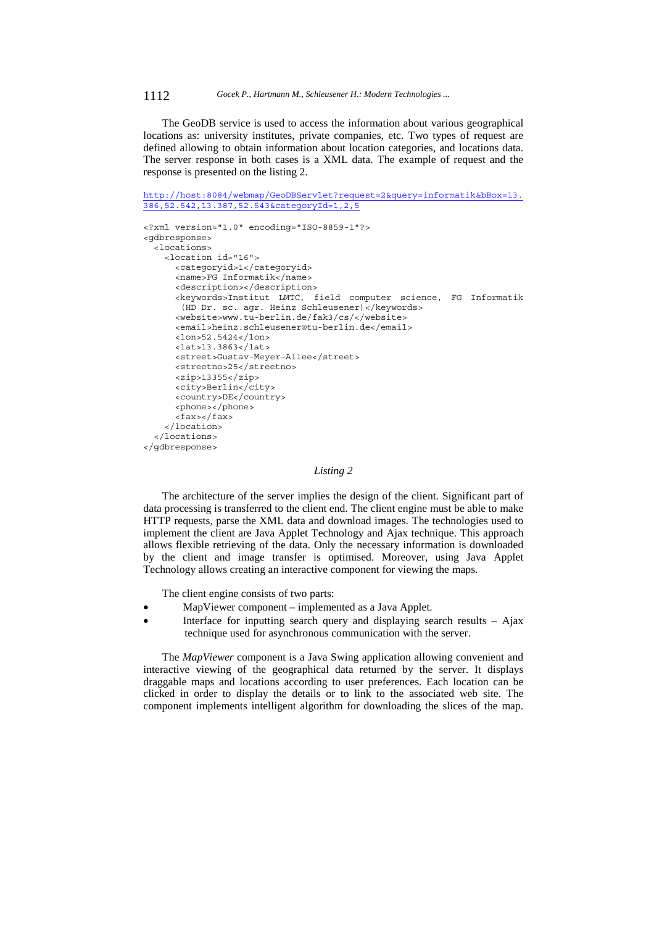1112 *Gocek P., Hartmann M., Schleusener H.: Modern Technologies ...*

The GeoDB service is used to access the information about various geographical locations as: university institutes, private companies, etc. Two types of request are defined allowing to obtain information about location categories, and locations data. The server response in both cases is a XML data. The example of request and the response is presented on the listing 2.

http://host:8084/webmap/GeoDBServlet?request=2&query=informatik&bBox=13. 386,52.542,13.387,52.543&categoryId=1,2,5

```
<?xml version="1.0" encoding="ISO-8859-1"?> 
<gdbresponse> 
  <locations> 
    <location id="16"> 
       <categoryid>1</categoryid> 
       <name>FG Informatik</name> 
       <description></description> 
       <keywords>Institut LMTC, field computer science, FG Informatik 
        (HD Dr. sc. agr. Heinz Schleusener)</keywords> 
       <website>www.tu-berlin.de/fak3/cs/</website> 
       <email>heinz.schleusener@tu-berlin.de</email> 
       <lon>52.5424</lon> 
       <lat>13.3863</lat> 
       <street>Gustav-Meyer-Allee</street> 
       <streetno>25</streetno> 
       <zip>13355</zip> 
       <city>Berlin</city> 
       <country>DE</country> 
       <phone></phone> 
       <fax></fax> 
     </location> 
   </locations> 
</gdbresponse>
```
#### *Listing 2*

The architecture of the server implies the design of the client. Significant part of data processing is transferred to the client end. The client engine must be able to make HTTP requests, parse the XML data and download images. The technologies used to implement the client are Java Applet Technology and Ajax technique. This approach allows flexible retrieving of the data. Only the necessary information is downloaded by the client and image transfer is optimised. Moreover, using Java Applet Technology allows creating an interactive component for viewing the maps.

The client engine consists of two parts:

- MapViewer component implemented as a Java Applet.
- Interface for inputting search query and displaying search results  $-$  Ajax technique used for asynchronous communication with the server.

The *MapViewer* component is a Java Swing application allowing convenient and interactive viewing of the geographical data returned by the server. It displays draggable maps and locations according to user preferences. Each location can be clicked in order to display the details or to link to the associated web site. The component implements intelligent algorithm for downloading the slices of the map.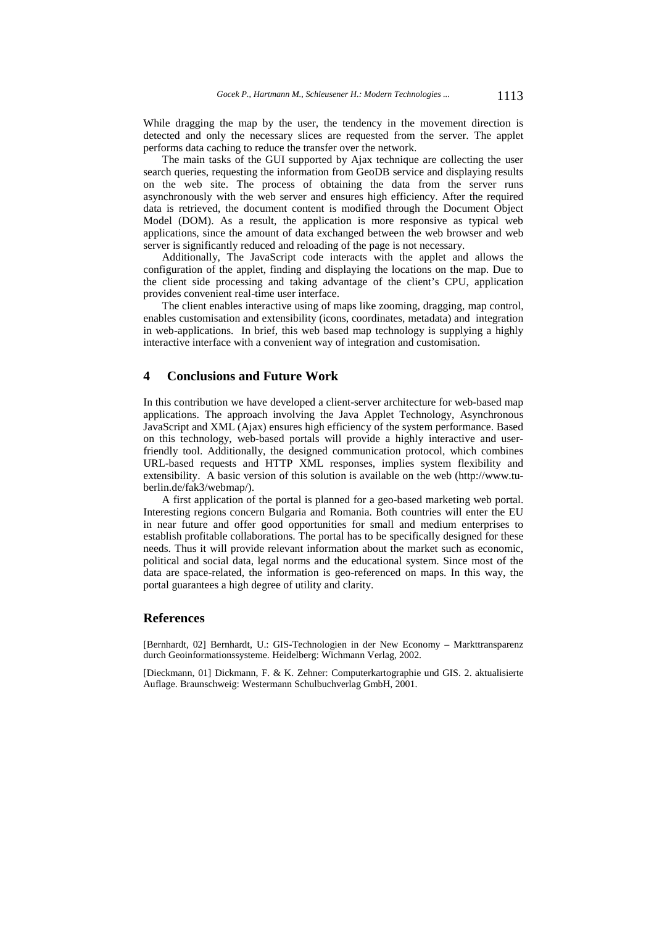While dragging the map by the user, the tendency in the movement direction is detected and only the necessary slices are requested from the server. The applet performs data caching to reduce the transfer over the network.

The main tasks of the GUI supported by Ajax technique are collecting the user search queries, requesting the information from GeoDB service and displaying results on the web site. The process of obtaining the data from the server runs asynchronously with the web server and ensures high efficiency. After the required data is retrieved, the document content is modified through the Document Object Model (DOM). As a result, the application is more responsive as typical web applications, since the amount of data exchanged between the web browser and web server is significantly reduced and reloading of the page is not necessary.

Additionally, The JavaScript code interacts with the applet and allows the configuration of the applet, finding and displaying the locations on the map. Due to the client side processing and taking advantage of the client's CPU, application provides convenient real-time user interface.

The client enables interactive using of maps like zooming, dragging, map control, enables customisation and extensibility (icons, coordinates, metadata) and integration in web-applications. In brief, this web based map technology is supplying a highly interactive interface with a convenient way of integration and customisation.

# **4 Conclusions and Future Work**

In this contribution we have developed a client-server architecture for web-based map applications. The approach involving the Java Applet Technology, Asynchronous JavaScript and XML (Ajax) ensures high efficiency of the system performance. Based on this technology, web-based portals will provide a highly interactive and userfriendly tool. Additionally, the designed communication protocol, which combines URL-based requests and HTTP XML responses, implies system flexibility and extensibility. A basic version of this solution is available on the web (http://www.tuberlin.de/fak3/webmap/).

A first application of the portal is planned for a geo-based marketing web portal. Interesting regions concern Bulgaria and Romania. Both countries will enter the EU in near future and offer good opportunities for small and medium enterprises to establish profitable collaborations. The portal has to be specifically designed for these needs. Thus it will provide relevant information about the market such as economic, political and social data, legal norms and the educational system. Since most of the data are space-related, the information is geo-referenced on maps. In this way, the portal guarantees a high degree of utility and clarity.

## **References**

[Bernhardt, 02] Bernhardt, U.: GIS-Technologien in der New Economy – Markttransparenz durch Geoinformationssysteme. Heidelberg: Wichmann Verlag, 2002.

[Dieckmann, 01] Dickmann, F. & K. Zehner: Computerkartographie und GIS. 2. aktualisierte Auflage. Braunschweig: Westermann Schulbuchverlag GmbH, 2001.